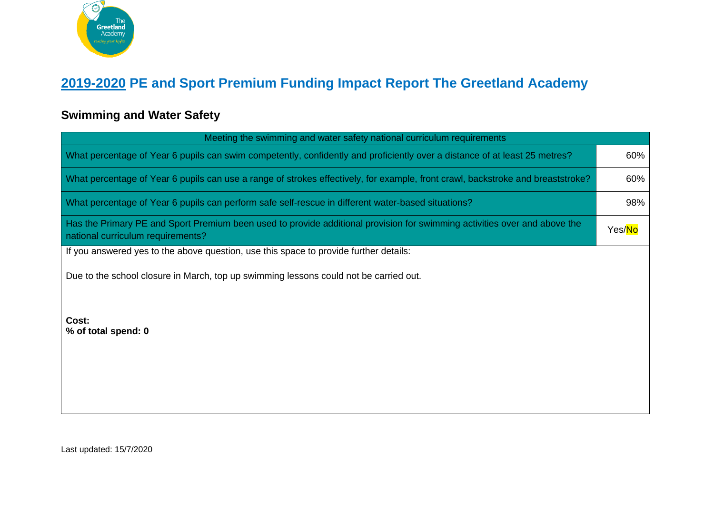

## **2019-2020 PE and Sport Premium Funding Impact Report The Greetland Academy**

## **Swimming and Water Safety**

| Meeting the swimming and water safety national curriculum requirements                                                                                         |     |  |  |  |
|----------------------------------------------------------------------------------------------------------------------------------------------------------------|-----|--|--|--|
| What percentage of Year 6 pupils can swim competently, confidently and proficiently over a distance of at least 25 metres?                                     | 60% |  |  |  |
| What percentage of Year 6 pupils can use a range of strokes effectively, for example, front crawl, backstroke and breaststroke?                                | 60% |  |  |  |
| What percentage of Year 6 pupils can perform safe self-rescue in different water-based situations?                                                             | 98% |  |  |  |
| Has the Primary PE and Sport Premium been used to provide additional provision for swimming activities over and above the<br>national curriculum requirements? |     |  |  |  |
| If you answered yes to the above question, use this space to provide further details:                                                                          |     |  |  |  |
| Due to the school closure in March, top up swimming lessons could not be carried out.                                                                          |     |  |  |  |
| Cost:<br>% of total spend: 0                                                                                                                                   |     |  |  |  |

Last updated: 15/7/2020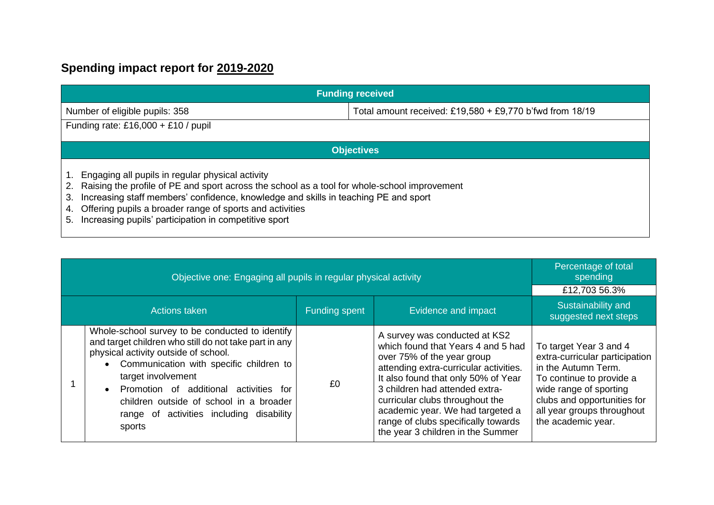## **Spending impact report for 2019-2020**

| <b>Funding received</b>                                                                                                                                                                                                                                                                                                                                                              |  |  |  |
|--------------------------------------------------------------------------------------------------------------------------------------------------------------------------------------------------------------------------------------------------------------------------------------------------------------------------------------------------------------------------------------|--|--|--|
| Total amount received: £19,580 + £9,770 b'fwd from 18/19<br>Number of eligible pupils: 358                                                                                                                                                                                                                                                                                           |  |  |  |
| Funding rate: £16,000 + £10 / pupil                                                                                                                                                                                                                                                                                                                                                  |  |  |  |
| <b>Objectives</b>                                                                                                                                                                                                                                                                                                                                                                    |  |  |  |
| Engaging all pupils in regular physical activity<br>Raising the profile of PE and sport across the school as a tool for whole-school improvement<br>2.<br>Increasing staff members' confidence, knowledge and skills in teaching PE and sport<br>3.<br>Offering pupils a broader range of sports and activities<br>4.<br>Increasing pupils' participation in competitive sport<br>5. |  |  |  |

| Objective one: Engaging all pupils in regular physical activity                                                                                                                                                                                                                                                                                                             |                      |                                                                                                                                                                                                                                                                                                                                                                         | Percentage of total<br>spending<br>£12,703 56.3%                                                                                                                                                                         |
|-----------------------------------------------------------------------------------------------------------------------------------------------------------------------------------------------------------------------------------------------------------------------------------------------------------------------------------------------------------------------------|----------------------|-------------------------------------------------------------------------------------------------------------------------------------------------------------------------------------------------------------------------------------------------------------------------------------------------------------------------------------------------------------------------|--------------------------------------------------------------------------------------------------------------------------------------------------------------------------------------------------------------------------|
| Actions taken                                                                                                                                                                                                                                                                                                                                                               | <b>Funding spent</b> | Evidence and impact                                                                                                                                                                                                                                                                                                                                                     | Sustainability and<br>suggested next steps                                                                                                                                                                               |
| Whole-school survey to be conducted to identify<br>and target children who still do not take part in any<br>physical activity outside of school.<br>• Communication with specific children to<br>target involvement<br>Promotion of additional activities for<br>$\bullet$<br>children outside of school in a broader<br>range of activities including disability<br>sports | £0                   | A survey was conducted at KS2<br>which found that Years 4 and 5 had<br>over 75% of the year group<br>attending extra-curricular activities.<br>It also found that only 50% of Year<br>3 children had attended extra-<br>curricular clubs throughout the<br>academic year. We had targeted a<br>range of clubs specifically towards<br>the year 3 children in the Summer | To target Year 3 and 4<br>extra-curricular participation<br>in the Autumn Term.<br>To continue to provide a<br>wide range of sporting<br>clubs and opportunities for<br>all year groups throughout<br>the academic year. |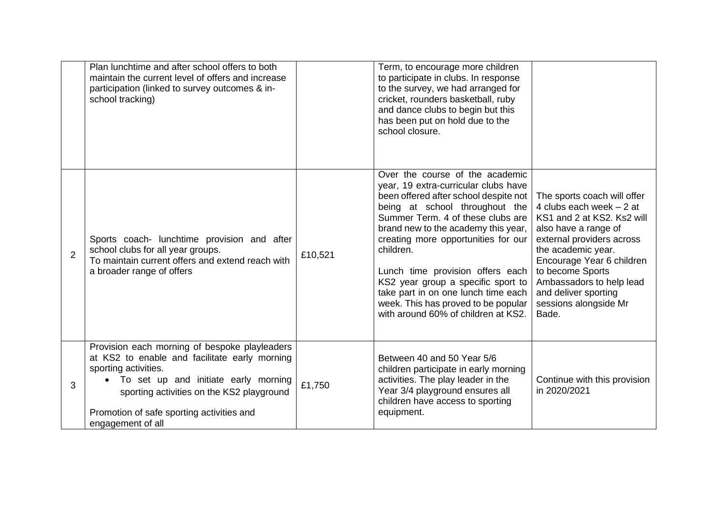|   | Plan lunchtime and after school offers to both<br>maintain the current level of offers and increase<br>participation (linked to survey outcomes & in-<br>school tracking)                                                                                                     |         | Term, to encourage more children<br>to participate in clubs. In response<br>to the survey, we had arranged for<br>cricket, rounders basketball, ruby<br>and dance clubs to begin but this<br>has been put on hold due to the<br>school closure.                                                                                                                                                                                                                                   |                                                                                                                                                                                                                                                                                                          |
|---|-------------------------------------------------------------------------------------------------------------------------------------------------------------------------------------------------------------------------------------------------------------------------------|---------|-----------------------------------------------------------------------------------------------------------------------------------------------------------------------------------------------------------------------------------------------------------------------------------------------------------------------------------------------------------------------------------------------------------------------------------------------------------------------------------|----------------------------------------------------------------------------------------------------------------------------------------------------------------------------------------------------------------------------------------------------------------------------------------------------------|
| 2 | Sports coach- lunchtime provision and after<br>school clubs for all year groups.<br>To maintain current offers and extend reach with<br>a broader range of offers                                                                                                             | £10,521 | Over the course of the academic<br>year, 19 extra-curricular clubs have<br>been offered after school despite not<br>being at school throughout the<br>Summer Term. 4 of these clubs are<br>brand new to the academy this year,<br>creating more opportunities for our<br>children.<br>Lunch time provision offers each<br>KS2 year group a specific sport to<br>take part in on one lunch time each<br>week. This has proved to be popular<br>with around 60% of children at KS2. | The sports coach will offer<br>4 clubs each week $-2$ at<br>KS1 and 2 at KS2. Ks2 will<br>also have a range of<br>external providers across<br>the academic year.<br>Encourage Year 6 children<br>to become Sports<br>Ambassadors to help lead<br>and deliver sporting<br>sessions alongside Mr<br>Bade. |
| 3 | Provision each morning of bespoke playleaders<br>at KS2 to enable and facilitate early morning<br>sporting activities.<br>To set up and initiate early morning<br>sporting activities on the KS2 playground<br>Promotion of safe sporting activities and<br>engagement of all | £1,750  | Between 40 and 50 Year 5/6<br>children participate in early morning<br>activities. The play leader in the<br>Year 3/4 playground ensures all<br>children have access to sporting<br>equipment.                                                                                                                                                                                                                                                                                    | Continue with this provision<br>in 2020/2021                                                                                                                                                                                                                                                             |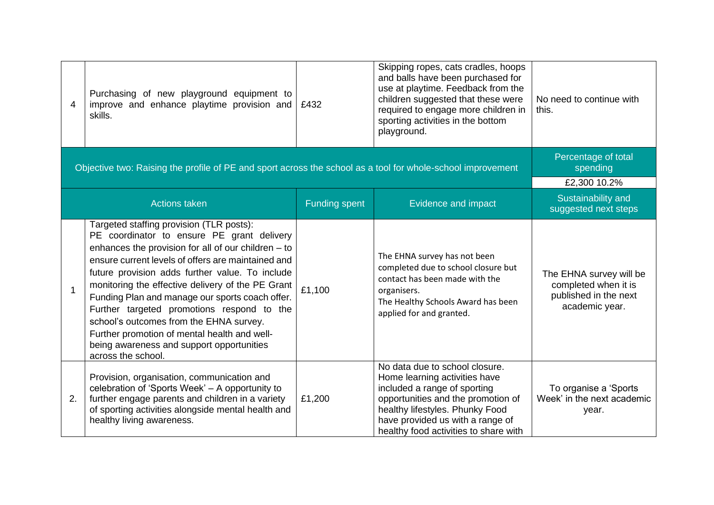| 4           | Purchasing of new playground equipment to<br>improve and enhance playtime provision and<br>skills.                                                                                                                                                                                                                                                                                                                                                                                                                                                                           | £432                 | Skipping ropes, cats cradles, hoops<br>and balls have been purchased for<br>use at playtime. Feedback from the<br>children suggested that these were<br>required to engage more children in<br>sporting activities in the bottom<br>playground.       | No need to continue with<br>this.                                                          |
|-------------|------------------------------------------------------------------------------------------------------------------------------------------------------------------------------------------------------------------------------------------------------------------------------------------------------------------------------------------------------------------------------------------------------------------------------------------------------------------------------------------------------------------------------------------------------------------------------|----------------------|-------------------------------------------------------------------------------------------------------------------------------------------------------------------------------------------------------------------------------------------------------|--------------------------------------------------------------------------------------------|
|             | Objective two: Raising the profile of PE and sport across the school as a tool for whole-school improvement                                                                                                                                                                                                                                                                                                                                                                                                                                                                  |                      |                                                                                                                                                                                                                                                       | Percentage of total<br>spending                                                            |
|             |                                                                                                                                                                                                                                                                                                                                                                                                                                                                                                                                                                              |                      |                                                                                                                                                                                                                                                       | £2,300 10.2%                                                                               |
|             | <b>Actions taken</b>                                                                                                                                                                                                                                                                                                                                                                                                                                                                                                                                                         | <b>Funding spent</b> | Evidence and impact                                                                                                                                                                                                                                   | Sustainability and<br>suggested next steps                                                 |
| $\mathbf 1$ | Targeted staffing provision (TLR posts):<br>PE coordinator to ensure PE grant delivery<br>enhances the provision for all of our children $-$ to<br>ensure current levels of offers are maintained and<br>future provision adds further value. To include<br>monitoring the effective delivery of the PE Grant<br>Funding Plan and manage our sports coach offer.<br>Further targeted promotions respond to the<br>school's outcomes from the EHNA survey.<br>Further promotion of mental health and well-<br>being awareness and support opportunities<br>across the school. | £1,100               | The EHNA survey has not been<br>completed due to school closure but<br>contact has been made with the<br>organisers.<br>The Healthy Schools Award has been<br>applied for and granted.                                                                | The EHNA survey will be<br>completed when it is<br>published in the next<br>academic year. |
| 2.          | Provision, organisation, communication and<br>celebration of 'Sports Week' - A opportunity to<br>further engage parents and children in a variety<br>of sporting activities alongside mental health and<br>healthy living awareness.                                                                                                                                                                                                                                                                                                                                         | £1,200               | No data due to school closure.<br>Home learning activities have<br>included a range of sporting<br>opportunities and the promotion of<br>healthy lifestyles. Phunky Food<br>have provided us with a range of<br>healthy food activities to share with | To organise a 'Sports'<br>Week' in the next academic<br>year.                              |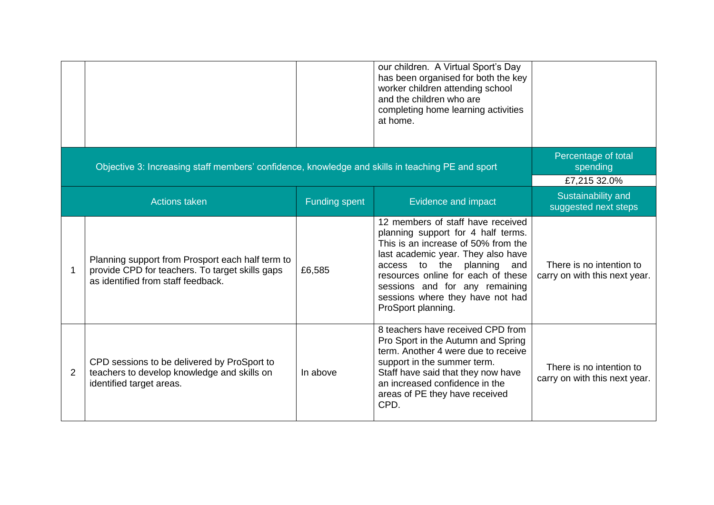|                |                                                                                                                                           |                      | our children. A Virtual Sport's Day<br>has been organised for both the key<br>worker children attending school<br>and the children who are<br>completing home learning activities<br>at home.                                                                                                                           |                                                           |
|----------------|-------------------------------------------------------------------------------------------------------------------------------------------|----------------------|-------------------------------------------------------------------------------------------------------------------------------------------------------------------------------------------------------------------------------------------------------------------------------------------------------------------------|-----------------------------------------------------------|
|                | Objective 3: Increasing staff members' confidence, knowledge and skills in teaching PE and sport                                          |                      |                                                                                                                                                                                                                                                                                                                         | Percentage of total<br>spending<br>£7,215 32.0%           |
|                | <b>Actions taken</b>                                                                                                                      | <b>Funding spent</b> | Evidence and impact                                                                                                                                                                                                                                                                                                     | Sustainability and<br>suggested next steps                |
| 1              | Planning support from Prosport each half term to<br>provide CPD for teachers. To target skills gaps<br>as identified from staff feedback. | £6,585               | 12 members of staff have received<br>planning support for 4 half terms.<br>This is an increase of 50% from the<br>last academic year. They also have<br>access to the planning<br>and<br>resources online for each of these<br>sessions and for any remaining<br>sessions where they have not had<br>ProSport planning. | There is no intention to<br>carry on with this next year. |
| $\overline{2}$ | CPD sessions to be delivered by ProSport to<br>teachers to develop knowledge and skills on<br>identified target areas.                    | In above             | 8 teachers have received CPD from<br>Pro Sport in the Autumn and Spring<br>term. Another 4 were due to receive<br>support in the summer term.<br>Staff have said that they now have<br>an increased confidence in the<br>areas of PE they have received<br>CPD.                                                         | There is no intention to<br>carry on with this next year. |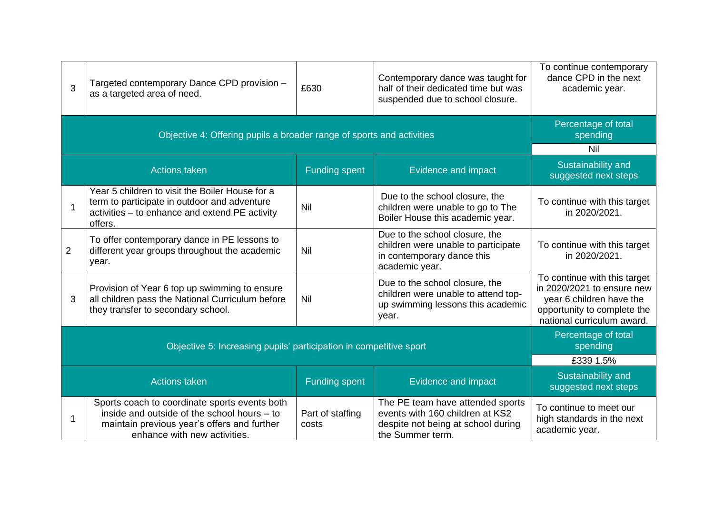| 3                                                                  | Targeted contemporary Dance CPD provision -<br>as a targeted area of need.                                                                                                  | £630                      | Contemporary dance was taught for<br>half of their dedicated time but was<br>suspended due to school closure.                 | To continue contemporary<br>dance CPD in the next<br>academic year.                                                                                 |
|--------------------------------------------------------------------|-----------------------------------------------------------------------------------------------------------------------------------------------------------------------------|---------------------------|-------------------------------------------------------------------------------------------------------------------------------|-----------------------------------------------------------------------------------------------------------------------------------------------------|
|                                                                    | Objective 4: Offering pupils a broader range of sports and activities                                                                                                       |                           |                                                                                                                               | Percentage of total<br>spending                                                                                                                     |
|                                                                    |                                                                                                                                                                             |                           |                                                                                                                               | Nil                                                                                                                                                 |
|                                                                    | <b>Actions taken</b>                                                                                                                                                        | <b>Funding spent</b>      | Evidence and impact                                                                                                           | Sustainability and<br>suggested next steps                                                                                                          |
| 1                                                                  | Year 5 children to visit the Boiler House for a<br>term to participate in outdoor and adventure<br>activities - to enhance and extend PE activity<br>offers.                | Nil                       | Due to the school closure, the<br>children were unable to go to The<br>Boiler House this academic year.                       | To continue with this target<br>in 2020/2021.                                                                                                       |
| $\overline{2}$                                                     | To offer contemporary dance in PE lessons to<br>different year groups throughout the academic<br>year.                                                                      | Nil                       | Due to the school closure, the<br>children were unable to participate<br>in contemporary dance this<br>academic year.         | To continue with this target<br>in 2020/2021.                                                                                                       |
| 3                                                                  | Provision of Year 6 top up swimming to ensure<br>all children pass the National Curriculum before<br>they transfer to secondary school.                                     | Nil                       | Due to the school closure, the<br>children were unable to attend top-<br>up swimming lessons this academic<br>year.           | To continue with this target<br>in 2020/2021 to ensure new<br>year 6 children have the<br>opportunity to complete the<br>national curriculum award. |
| Objective 5: Increasing pupils' participation in competitive sport |                                                                                                                                                                             |                           |                                                                                                                               | Percentage of total<br>spending                                                                                                                     |
|                                                                    |                                                                                                                                                                             |                           |                                                                                                                               | £339 1.5%                                                                                                                                           |
|                                                                    | <b>Actions taken</b>                                                                                                                                                        | <b>Funding spent</b>      | Evidence and impact                                                                                                           | Sustainability and<br>suggested next steps                                                                                                          |
| 1                                                                  | Sports coach to coordinate sports events both<br>inside and outside of the school hours - to<br>maintain previous year's offers and further<br>enhance with new activities. | Part of staffing<br>costs | The PE team have attended sports<br>events with 160 children at KS2<br>despite not being at school during<br>the Summer term. | To continue to meet our<br>high standards in the next<br>academic year.                                                                             |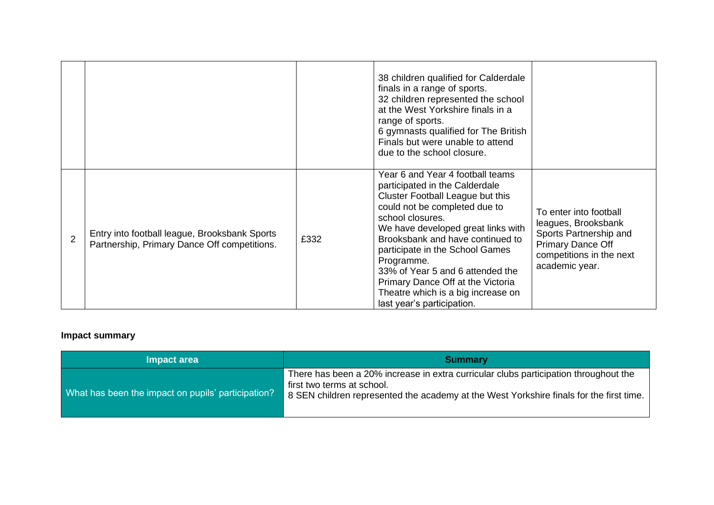|                |                                                                                               |      | 38 children qualified for Calderdale<br>finals in a range of sports.<br>32 children represented the school<br>at the West Yorkshire finals in a<br>range of sports.<br>6 gymnasts qualified for The British<br>Finals but were unable to attend<br>due to the school closure.                                                                                                                                                       |                                                                                                                                                   |
|----------------|-----------------------------------------------------------------------------------------------|------|-------------------------------------------------------------------------------------------------------------------------------------------------------------------------------------------------------------------------------------------------------------------------------------------------------------------------------------------------------------------------------------------------------------------------------------|---------------------------------------------------------------------------------------------------------------------------------------------------|
| $\overline{2}$ | Entry into football league, Brooksbank Sports<br>Partnership, Primary Dance Off competitions. | £332 | Year 6 and Year 4 football teams<br>participated in the Calderdale<br>Cluster Football League but this<br>could not be completed due to<br>school closures.<br>We have developed great links with<br>Brooksbank and have continued to<br>participate in the School Games<br>Programme.<br>33% of Year 5 and 6 attended the<br>Primary Dance Off at the Victoria<br>Theatre which is a big increase on<br>last year's participation. | To enter into football<br>leagues, Brooksbank<br>Sports Partnership and<br><b>Primary Dance Off</b><br>competitions in the next<br>academic year. |

## **Impact summary**

| Impact area                                        | <b>Summary</b>                                                                                                                                                                                                  |
|----------------------------------------------------|-----------------------------------------------------------------------------------------------------------------------------------------------------------------------------------------------------------------|
| What has been the impact on pupils' participation? | There has been a 20% increase in extra curricular clubs participation throughout the<br>first two terms at school.<br>  8 SEN children represented the academy at the West Yorkshire finals for the first time. |